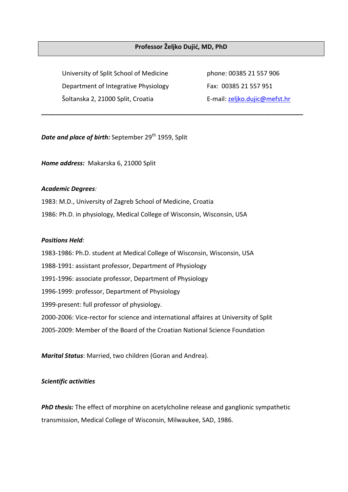## **Professor Željko Dujić, MD, PhD**

**\_\_\_\_\_\_\_\_\_\_\_\_\_\_\_\_\_\_\_\_\_\_\_\_\_\_\_\_\_\_\_\_\_\_\_\_\_\_\_\_\_\_\_\_\_\_\_\_\_\_\_\_\_\_\_\_\_\_\_\_\_\_\_\_\_\_\_\_\_\_\_\_\_\_\_**

University of Split School of Medicine phone: 00385 21 557 906 Department of Integrative Physiology Fax: 00385 21 557 951 Šoltanska 2, 21000 Split, Croatia E-mail: [zeljko.dujic@mefst.hr](mailto:zdujic@bsb.mefst.hr)

**Date and place of birth:** September 29<sup>th</sup> 1959, Split

*Home address:* Makarska 6, 21000 Split

#### *Academic Degrees:*

1983: M.D., University of Zagreb School of Medicine, Croatia 1986: Ph.D. in physiology, Medical College of Wisconsin, Wisconsin, USA

### *Positions Held:*

1983-1986: Ph.D. student at Medical College of Wisconsin, Wisconsin, USA 1988-1991: assistant professor, Department of Physiology 1991-1996: associate professor, Department of Physiology 1996-1999: professor, Department of Physiology 1999-present: full professor of physiology. 2000-2006: Vice-rector for science and international affaires at University of Split 2005-2009: Member of the Board of the Croatian National Science Foundation

*Marital Status*: Married, two children (Goran and Andrea).

#### *Scientific activities*

**PhD thesis:** The effect of morphine on acetylcholine release and ganglionic sympathetic transmission, Medical College of Wisconsin, Milwaukee, SAD, 1986.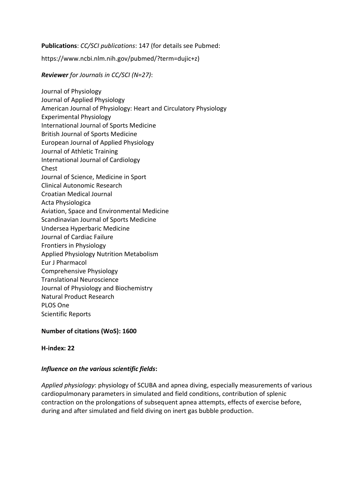**Publications**: *CC/SCI publications*: 147 (for details see Pubmed:

https://www.ncbi.nlm.nih.gov/pubmed/?term=dujic+z)

*Reviewer for Journals in CC/SCI (N=27)*:

Journal of Physiology Journal of Applied Physiology American Journal of Physiology: Heart and Circulatory Physiology Experimental Physiology International Journal of Sports Medicine British Journal of Sports Medicine European Journal of Applied Physiology Journal of Athletic Training International Journal of Cardiology Chest Journal of Science, Medicine in Sport Clinical Autonomic Research Croatian Medical Journal Acta Physiologica Aviation, Space and Environmental Medicine Scandinavian Journal of Sports Medicine Undersea Hyperbaric Medicine Journal of Cardiac Failure Frontiers in Physiology Applied Physiology Nutrition Metabolism Eur J Pharmacol Comprehensive Physiology Translational Neuroscience Journal of Physiology and Biochemistry Natural Product Research PLOS One Scientific Reports

**Number of citations (WoS): 1600**

**H-index: 22**

# *Influence on the various scientific fields***:**

*Applied physiology*: physiology of SCUBA and apnea diving, especially measurements of various cardiopulmonary parameters in simulated and field conditions, contribution of splenic contraction on the prolongations of subsequent apnea attempts, effects of exercise before, during and after simulated and field diving on inert gas bubble production.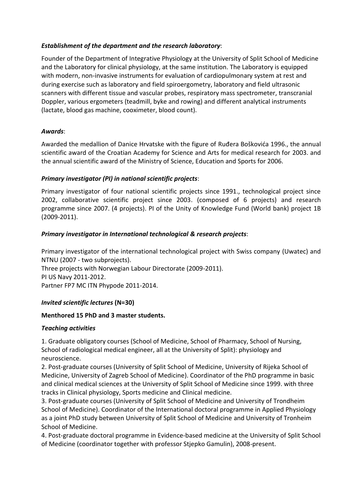## *Establishment of the department and the research laboratory*:

Founder of the Department of Integrative Physiology at the University of Split School of Medicine and the Laboratory for clinical physiology, at the same institution. The Laboratory is equipped with modern, non-invasive instruments for evaluation of cardiopulmonary system at rest and during exercise such as laboratory and field spiroergometry, laboratory and field ultrasonic scanners with different tissue and vascular probes, respiratory mass spectrometer, transcranial Doppler, various ergometers (teadmill, byke and rowing) and different analytical instruments (lactate, blood gas machine, cooximeter, blood count).

## *Awards*:

Awarded the medallion of Danice Hrvatske with the figure of Ruđera Boškovića 1996., the annual scientific award of the Croatian Academy for Science and Arts for medical research for 2003. and the annual scientific award of the Ministry of Science, Education and Sports for 2006.

# *Primary investigator (PI) in national scientific projects*:

Primary investigator of four national scientific projects since 1991., technological project since 2002, collaborative scientific project since 2003. (composed of 6 projects) and research programme since 2007. (4 projects). PI of the Unity of Knowledge Fund (World bank) project 1B (2009-2011).

## *Primary investigator in International technological & research projects*:

Primary investigator of the international technological project with Swiss company (Uwatec) and NTNU (2007 - two subprojects).

Three projects with Norwegian Labour Directorate (2009-2011). PI US Navy 2011-2012. Partner FP7 MC ITN Phypode 2011-2014.

#### *Invited scientific lectures* **(N=30)**

#### **Menthored 15 PhD and 3 master students.**

#### *Teaching activities*

1. Graduate obligatory courses (School of Medicine, School of Pharmacy, School of Nursing, School of radiological medical engineer, all at the University of Split): physiology and neuroscience.

2. Post-graduate courses (University of Split School of Medicine, University of Rijeka School of Medicine, University of Zagreb School of Medicine). Coordinator of the PhD programme in basic and clinical medical sciences at the University of Split School of Medicine since 1999. with three tracks in Clinical physiology, Sports medicine and Clinical medicine.

3. Post-graduate courses (University of Split School of Medicine and University of Trondheim School of Medicine). Coordinator of the International doctoral programme in Applied Physiology as a joint PhD study between University of Split School of Medicine and University of Tronheim School of Medicine.

4. Post-graduate doctoral programme in Evidence-based medicine at the University of Split School of Medicine (coordinator together with professor Stjepko Gamulin), 2008-present.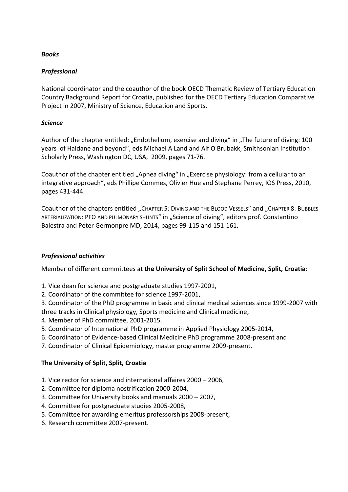## *Books*

## *Professional*

National coordinator and the coauthor of the book OECD Thematic Review of Tertiary Education Country Background Report for Croatia, published for the OECD Tertiary Education Comparative Project in 2007, Ministry of Science, Education and Sports.

## *Science*

Author of the chapter entitled: "Endothelium, exercise and diving" in "The future of diving: 100 years of Haldane and beyond", eds Michael A Land and Alf O Brubakk, Smithsonian Institution Scholarly Press, Washington DC, USA, 2009, pages 71-76.

Coauthor of the chapter entitled "Apnea diving" in "Exercise physiology: from a cellular to an integrative approach", eds Phillipe Commes, Olivier Hue and Stephane Perrey, IOS Press, 2010, pages 431-444.

Coauthor of the chapters entitled "CHAPTER 5: DIVING AND THE BLOOD VESSELS" and "CHAPTER 8: BUBBLES ARTERIALIZATION: PFO AND PULMONARY SHUNTS" in "Science of diving", editors prof. Constantino Balestra and Peter Germonpre MD, 2014, pages 99-115 and 151-161.

# *Professional activities*

Member of different committees at **the University of Split School of Medicine, Split, Croatia**:

- 1. Vice dean for science and postgraduate studies 1997-2001,
- 2. Coordinator of the committee for science 1997-2001,

3. Coordinator of the PhD programme in basic and clinical medical sciences since 1999-2007 with three tracks in Clinical physiology, Sports medicine and Clinical medicine,

- 4. Member of PhD committee, 2001-2015.
- 5. Coordinator of International PhD programme in Applied Physiology 2005-2014,
- 6. Coordinator of Evidence-based Clinical Medicine PhD programme 2008-present and
- 7. Coordinator of Clinical Epidemiology, master programme 2009-present.

# **The University of Split, Split, Croatia**

- 1. Vice rector for science and international affaires 2000 2006,
- 2. Committee for diploma nostrification 2000-2004,
- 3. Committee for University books and manuals 2000 2007,
- 4. Committee for postgraduate studies 2005-2008,
- 5. Committee for awarding emeritus professorships 2008-present,
- 6. Research committee 2007-present.